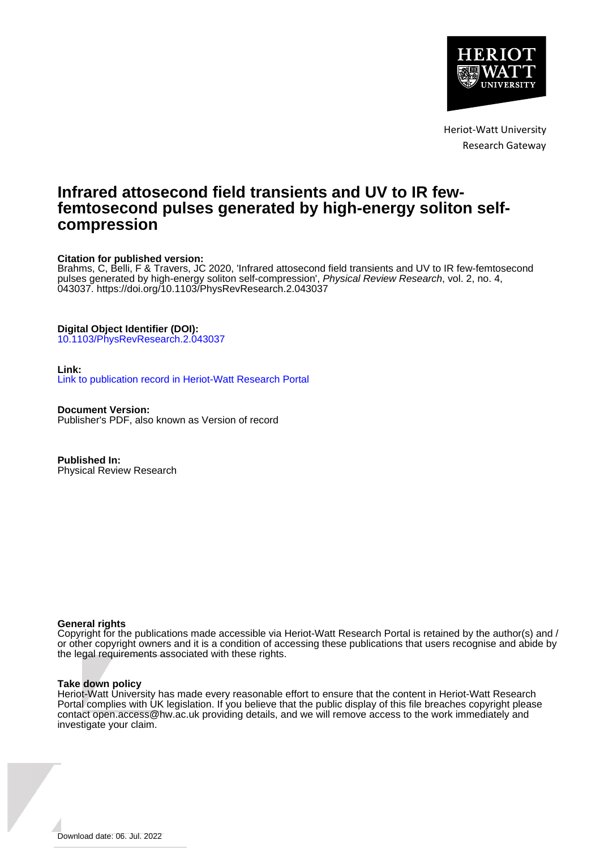

Heriot-Watt University Research Gateway

# **Infrared attosecond field transients and UV to IR fewfemtosecond pulses generated by high-energy soliton selfcompression**

# **Citation for published version:**

Brahms, C, Belli, F & Travers, JC 2020, 'Infrared attosecond field transients and UV to IR few-femtosecond pulses generated by high-energy soliton self-compression', Physical Review Research, vol. 2, no. 4, 043037. <https://doi.org/10.1103/PhysRevResearch.2.043037>

# **Digital Object Identifier (DOI):**

[10.1103/PhysRevResearch.2.043037](https://doi.org/10.1103/PhysRevResearch.2.043037)

# **Link:**

[Link to publication record in Heriot-Watt Research Portal](https://researchportal.hw.ac.uk/en/publications/9b8e2da8-7519-4135-8317-c6a2f9104874)

**Document Version:** Publisher's PDF, also known as Version of record

**Published In:** Physical Review Research

# **General rights**

Copyright for the publications made accessible via Heriot-Watt Research Portal is retained by the author(s) and / or other copyright owners and it is a condition of accessing these publications that users recognise and abide by the legal requirements associated with these rights.

# **Take down policy**

Heriot-Watt University has made every reasonable effort to ensure that the content in Heriot-Watt Research Portal complies with UK legislation. If you believe that the public display of this file breaches copyright please contact open.access@hw.ac.uk providing details, and we will remove access to the work immediately and investigate your claim.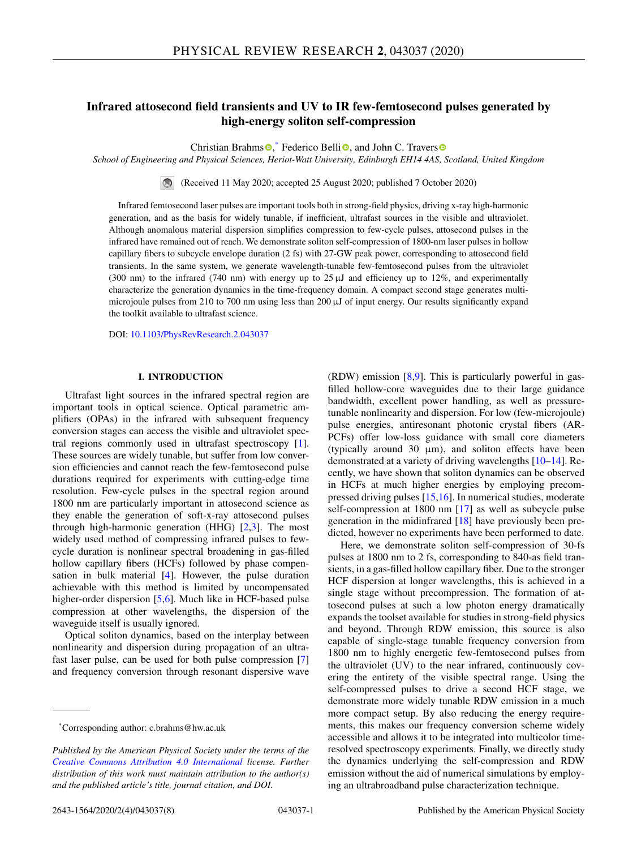# **Infrared attosecond field transients and UV to IR few-femtosecond pulses generated by high-energy soliton self-compression**

Christian Brahms<sup>®</sup>[,](https://orcid.org/0000-0002-2560-3428) Federico Belli<[s](https://orcid.org/0000-0003-0350-9104)up>®</sup>, and John C. Travers

*School of Engineering and Physical Sciences, Heriot-Watt University, Edinburgh EH14 4AS, Scotland, United Kingdom*

(Received 11 May 2020; accepted 25 August 2020; published 7 October 2020)  $\blacksquare$ 

Infrared femtosecond laser pulses are important tools both in strong-field physics, driving x-ray high-harmonic generation, and as the basis for widely tunable, if inefficient, ultrafast sources in the visible and ultraviolet. Although anomalous material dispersion simplifies compression to few-cycle pulses, attosecond pulses in the infrared have remained out of reach. We demonstrate soliton self-compression of 1800-nm laser pulses in hollow capillary fibers to subcycle envelope duration (2 fs) with 27-GW peak power, corresponding to attosecond field transients. In the same system, we generate wavelength-tunable few-femtosecond pulses from the ultraviolet (300 nm) to the infrared (740 nm) with energy up to  $25 \mu J$  and efficiency up to 12%, and experimentally characterize the generation dynamics in the time-frequency domain. A compact second stage generates multimicrojoule pulses from 210 to 700 nm using less than 200 μJ of input energy. Our results significantly expand the toolkit available to ultrafast science.

DOI: [10.1103/PhysRevResearch.2.043037](https://doi.org/10.1103/PhysRevResearch.2.043037)

### **I. INTRODUCTION**

Ultrafast light sources in the infrared spectral region are important tools in optical science. Optical parametric amplifiers (OPAs) in the infrared with subsequent frequency conversion stages can access the visible and ultraviolet spectral regions commonly used in ultrafast spectroscopy [\[1\]](#page-7-0). These sources are widely tunable, but suffer from low conversion efficiencies and cannot reach the few-femtosecond pulse durations required for experiments with cutting-edge time resolution. Few-cycle pulses in the spectral region around 1800 nm are particularly important in attosecond science as they enable the generation of soft-x-ray attosecond pulses through high-harmonic generation (HHG)  $[2,3]$ . The most widely used method of compressing infrared pulses to fewcycle duration is nonlinear spectral broadening in gas-filled hollow capillary fibers (HCFs) followed by phase compensation in bulk material [\[4\]](#page-7-0). However, the pulse duration achievable with this method is limited by uncompensated higher-order dispersion [\[5,6\]](#page-7-0). Much like in HCF-based pulse compression at other wavelengths, the dispersion of the waveguide itself is usually ignored.

Optical soliton dynamics, based on the interplay between nonlinearity and dispersion during propagation of an ultrafast laser pulse, can be used for both pulse compression [\[7\]](#page-7-0) and frequency conversion through resonant dispersive wave (RDW) emission [\[8,9\]](#page-8-0). This is particularly powerful in gasfilled hollow-core waveguides due to their large guidance bandwidth, excellent power handling, as well as pressuretunable nonlinearity and dispersion. For low (few-microjoule) pulse energies, antiresonant photonic crystal fibers (AR-PCFs) offer low-loss guidance with small core diameters (typically around 30  $\mu$ m), and soliton effects have been demonstrated at a variety of driving wavelengths [\[10–14\]](#page-8-0). Recently, we have shown that soliton dynamics can be observed in HCFs at much higher energies by employing precompressed driving pulses [\[15,16\]](#page-8-0). In numerical studies, moderate self-compression at 1800 nm [\[17\]](#page-8-0) as well as subcycle pulse generation in the midinfrared [\[18\]](#page-8-0) have previously been predicted, however no experiments have been performed to date.

Here, we demonstrate soliton self-compression of 30-fs pulses at 1800 nm to 2 fs, corresponding to 840-as field transients, in a gas-filled hollow capillary fiber. Due to the stronger HCF dispersion at longer wavelengths, this is achieved in a single stage without precompression. The formation of attosecond pulses at such a low photon energy dramatically expands the toolset available for studies in strong-field physics and beyond. Through RDW emission, this source is also capable of single-stage tunable frequency conversion from 1800 nm to highly energetic few-femtosecond pulses from the ultraviolet (UV) to the near infrared, continuously covering the entirety of the visible spectral range. Using the self-compressed pulses to drive a second HCF stage, we demonstrate more widely tunable RDW emission in a much more compact setup. By also reducing the energy requirements, this makes our frequency conversion scheme widely accessible and allows it to be integrated into multicolor timeresolved spectroscopy experiments. Finally, we directly study the dynamics underlying the self-compression and RDW emission without the aid of numerical simulations by employing an ultrabroadband pulse characterization technique.

<sup>\*</sup>Corresponding author: c.brahms@hw.ac.uk

*Published by the American Physical Society under the terms of the [Creative Commons Attribution 4.0 International](https://creativecommons.org/licenses/by/4.0/) license. Further distribution of this work must maintain attribution to the author(s) and the published article's title, journal citation, and DOI.*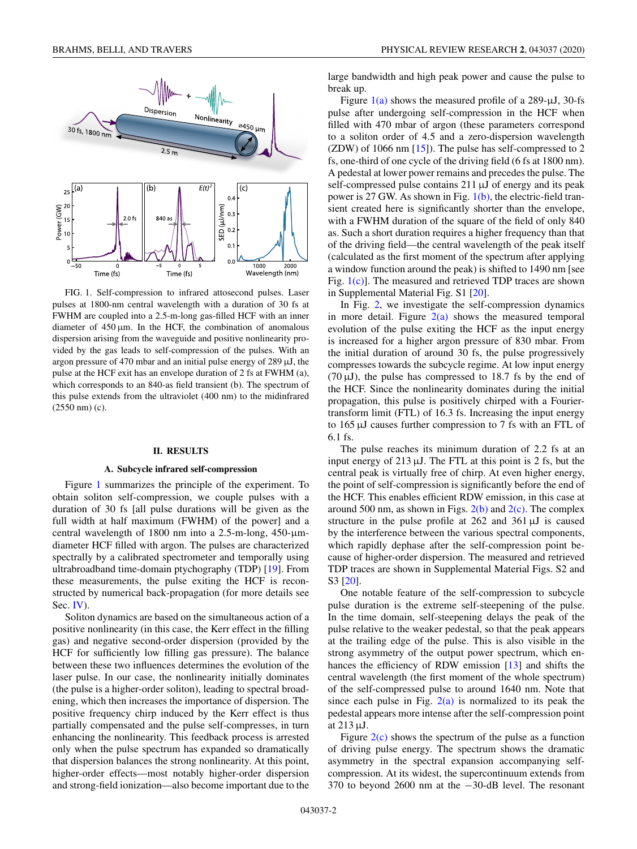<span id="page-2-0"></span>

FIG. 1. Self-compression to infrared attosecond pulses. Laser pulses at 1800-nm central wavelength with a duration of 30 fs at FWHM are coupled into a 2.5-m-long gas-filled HCF with an inner diameter of  $450 \mu m$ . In the HCF, the combination of anomalous dispersion arising from the waveguide and positive nonlinearity provided by the gas leads to self-compression of the pulses. With an argon pressure of 470 mbar and an initial pulse energy of 289 μJ, the pulse at the HCF exit has an envelope duration of 2 fs at FWHM (a), which corresponds to an 840-as field transient (b). The spectrum of this pulse extends from the ultraviolet (400 nm) to the midinfrared (2550 nm) (c).

#### **II. RESULTS**

#### **A. Subcycle infrared self-compression**

Figure 1 summarizes the principle of the experiment. To obtain soliton self-compression, we couple pulses with a duration of 30 fs [all pulse durations will be given as the full width at half maximum (FWHM) of the power] and a central wavelength of 1800 nm into a 2.5-m-long, 450-μmdiameter HCF filled with argon. The pulses are characterized spectrally by a calibrated spectrometer and temporally using ultrabroadband time-domain ptychography (TDP) [\[19\]](#page-8-0). From these measurements, the pulse exiting the HCF is reconstructed by numerical back-propagation (for more details see Sec. [IV\)](#page-6-0).

Soliton dynamics are based on the simultaneous action of a positive nonlinearity (in this case, the Kerr effect in the filling gas) and negative second-order dispersion (provided by the HCF for sufficiently low filling gas pressure). The balance between these two influences determines the evolution of the laser pulse. In our case, the nonlinearity initially dominates (the pulse is a higher-order soliton), leading to spectral broadening, which then increases the importance of dispersion. The positive frequency chirp induced by the Kerr effect is thus partially compensated and the pulse self-compresses, in turn enhancing the nonlinearity. This feedback process is arrested only when the pulse spectrum has expanded so dramatically that dispersion balances the strong nonlinearity. At this point, higher-order effects—most notably higher-order dispersion and strong-field ionization—also become important due to the large bandwidth and high peak power and cause the pulse to break up.

Figure  $1(a)$  shows the measured profile of a 289- $\mu$ J, 30-fs pulse after undergoing self-compression in the HCF when filled with 470 mbar of argon (these parameters correspond to a soliton order of 4.5 and a zero-dispersion wavelength (ZDW) of 1066 nm [\[15\]](#page-8-0)). The pulse has self-compressed to 2 fs, one-third of one cycle of the driving field (6 fs at 1800 nm). A pedestal at lower power remains and precedes the pulse. The self-compressed pulse contains 211 μJ of energy and its peak power is 27 GW. As shown in Fig. 1(b), the electric-field transient created here is significantly shorter than the envelope, with a FWHM duration of the square of the field of only 840 as. Such a short duration requires a higher frequency than that of the driving field—the central wavelength of the peak itself (calculated as the first moment of the spectrum after applying a window function around the peak) is shifted to 1490 nm [see Fig. 1(c)]. The measured and retrieved TDP traces are shown in Supplemental Material Fig. S1 [\[20\]](#page-8-0).

In Fig. [2,](#page-3-0) we investigate the self-compression dynamics in more detail. Figure  $2(a)$  shows the measured temporal evolution of the pulse exiting the HCF as the input energy is increased for a higher argon pressure of 830 mbar. From the initial duration of around 30 fs, the pulse progressively compresses towards the subcycle regime. At low input energy  $(70 \,\mu\text{J})$ , the pulse has compressed to 18.7 fs by the end of the HCF. Since the nonlinearity dominates during the initial propagation, this pulse is positively chirped with a Fouriertransform limit (FTL) of 16.3 fs. Increasing the input energy to 165 μJ causes further compression to 7 fs with an FTL of 6.1 fs.

The pulse reaches its minimum duration of 2.2 fs at an input energy of  $213 \mu J$ . The FTL at this point is 2 fs, but the central peak is virtually free of chirp. At even higher energy, the point of self-compression is significantly before the end of the HCF. This enables efficient RDW emission, in this case at around 500 nm, as shown in Figs.  $2(b)$  and  $2(c)$ . The complex structure in the pulse profile at  $262$  and  $361 \mu J$  is caused by the interference between the various spectral components, which rapidly dephase after the self-compression point because of higher-order dispersion. The measured and retrieved TDP traces are shown in Supplemental Material Figs. S2 and S3 [\[20\]](#page-8-0).

One notable feature of the self-compression to subcycle pulse duration is the extreme self-steepening of the pulse. In the time domain, self-steepening delays the peak of the pulse relative to the weaker pedestal, so that the peak appears at the trailing edge of the pulse. This is also visible in the strong asymmetry of the output power spectrum, which en-hances the efficiency of RDW emission [\[13\]](#page-8-0) and shifts the central wavelength (the first moment of the whole spectrum) of the self-compressed pulse to around 1640 nm. Note that since each pulse in Fig.  $2(a)$  is normalized to its peak the pedestal appears more intense after the self-compression point at 213 μJ.

Figure  $2(c)$  shows the spectrum of the pulse as a function of driving pulse energy. The spectrum shows the dramatic asymmetry in the spectral expansion accompanying selfcompression. At its widest, the supercontinuum extends from 370 to beyond 2600 nm at the −30-dB level. The resonant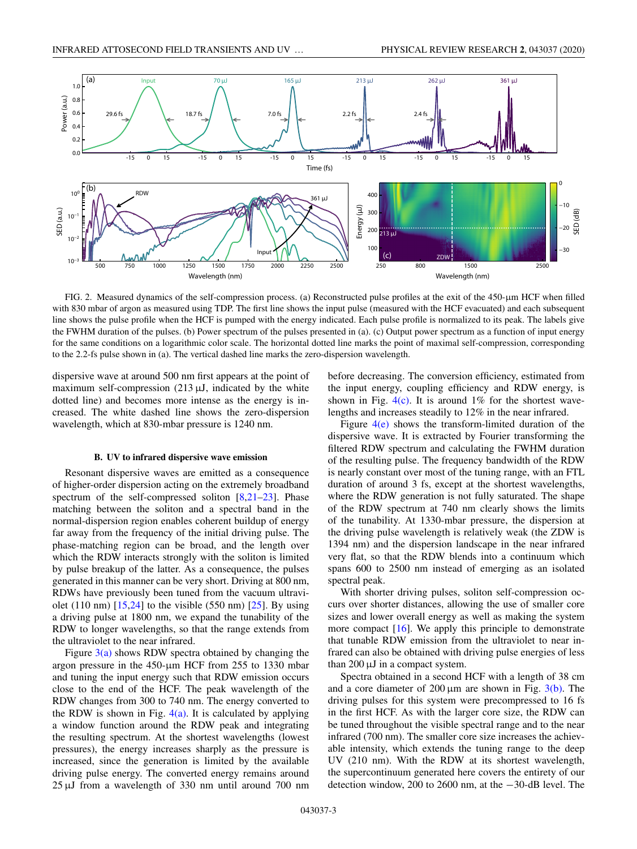<span id="page-3-0"></span>

FIG. 2. Measured dynamics of the self-compression process. (a) Reconstructed pulse profiles at the exit of the 450-μm HCF when filled with 830 mbar of argon as measured using TDP. The first line shows the input pulse (measured with the HCF evacuated) and each subsequent line shows the pulse profile when the HCF is pumped with the energy indicated. Each pulse profile is normalized to its peak. The labels give the FWHM duration of the pulses. (b) Power spectrum of the pulses presented in (a). (c) Output power spectrum as a function of input energy for the same conditions on a logarithmic color scale. The horizontal dotted line marks the point of maximal self-compression, corresponding to the 2.2-fs pulse shown in (a). The vertical dashed line marks the zero-dispersion wavelength.

dispersive wave at around 500 nm first appears at the point of maximum self-compression  $(213 \mu J,$  indicated by the white dotted line) and becomes more intense as the energy is increased. The white dashed line shows the zero-dispersion wavelength, which at 830-mbar pressure is 1240 nm.

#### **B. UV to infrared dispersive wave emission**

Resonant dispersive waves are emitted as a consequence of higher-order dispersion acting on the extremely broadband spectrum of the self-compressed soliton  $[8,21-23]$ . Phase matching between the soliton and a spectral band in the normal-dispersion region enables coherent buildup of energy far away from the frequency of the initial driving pulse. The phase-matching region can be broad, and the length over which the RDW interacts strongly with the soliton is limited by pulse breakup of the latter. As a consequence, the pulses generated in this manner can be very short. Driving at 800 nm, RDWs have previously been tuned from the vacuum ultraviolet (110 nm)  $[15,24]$  to the visible (550 nm)  $[25]$ . By using a driving pulse at 1800 nm, we expand the tunability of the RDW to longer wavelengths, so that the range extends from the ultraviolet to the near infrared.

Figure  $3(a)$  shows RDW spectra obtained by changing the argon pressure in the 450-μm HCF from 255 to 1330 mbar and tuning the input energy such that RDW emission occurs close to the end of the HCF. The peak wavelength of the RDW changes from 300 to 740 nm. The energy converted to the RDW is shown in Fig.  $4(a)$ . It is calculated by applying a window function around the RDW peak and integrating the resulting spectrum. At the shortest wavelengths (lowest pressures), the energy increases sharply as the pressure is increased, since the generation is limited by the available driving pulse energy. The converted energy remains around 25 μJ from a wavelength of 330 nm until around 700 nm before decreasing. The conversion efficiency, estimated from the input energy, coupling efficiency and RDW energy, is shown in Fig.  $4(c)$ . It is around 1% for the shortest wavelengths and increases steadily to 12% in the near infrared.

Figure  $4(e)$  shows the transform-limited duration of the dispersive wave. It is extracted by Fourier transforming the filtered RDW spectrum and calculating the FWHM duration of the resulting pulse. The frequency bandwidth of the RDW is nearly constant over most of the tuning range, with an FTL duration of around 3 fs, except at the shortest wavelengths, where the RDW generation is not fully saturated. The shape of the RDW spectrum at 740 nm clearly shows the limits of the tunability. At 1330-mbar pressure, the dispersion at the driving pulse wavelength is relatively weak (the ZDW is 1394 nm) and the dispersion landscape in the near infrared very flat, so that the RDW blends into a continuum which spans 600 to 2500 nm instead of emerging as an isolated spectral peak.

With shorter driving pulses, soliton self-compression occurs over shorter distances, allowing the use of smaller core sizes and lower overall energy as well as making the system more compact [\[16\]](#page-8-0). We apply this principle to demonstrate that tunable RDW emission from the ultraviolet to near infrared can also be obtained with driving pulse energies of less than 200 μJ in a compact system.

Spectra obtained in a second HCF with a length of 38 cm and a core diameter of  $200 \mu m$  are shown in Fig.  $3(b)$ . The driving pulses for this system were precompressed to 16 fs in the first HCF. As with the larger core size, the RDW can be tuned throughout the visible spectral range and to the near infrared (700 nm). The smaller core size increases the achievable intensity, which extends the tuning range to the deep UV (210 nm). With the RDW at its shortest wavelength, the supercontinuum generated here covers the entirety of our detection window, 200 to 2600 nm, at the −30-dB level. The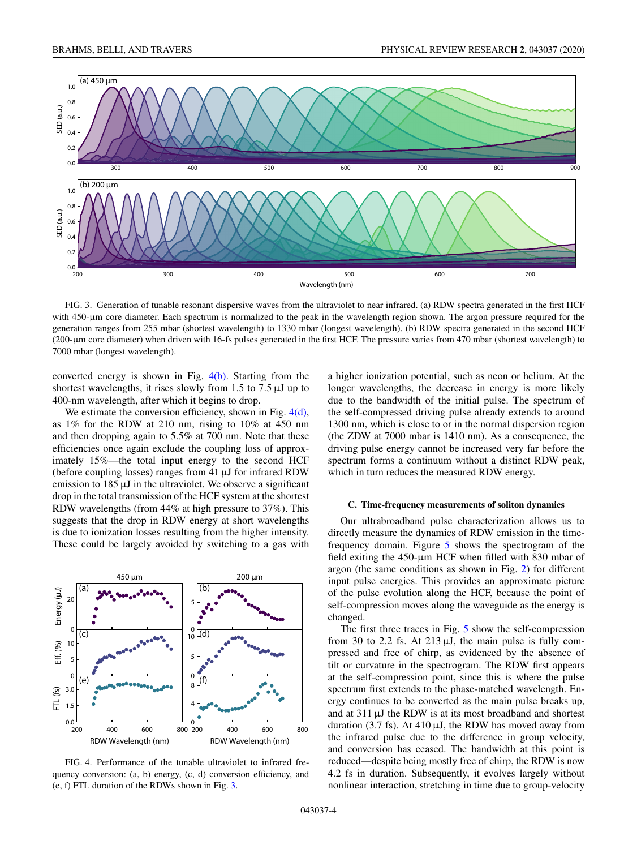<span id="page-4-0"></span>

FIG. 3. Generation of tunable resonant dispersive waves from the ultraviolet to near infrared. (a) RDW spectra generated in the first HCF with 450-μm core diameter. Each spectrum is normalized to the peak in the wavelength region shown. The argon pressure required for the generation ranges from 255 mbar (shortest wavelength) to 1330 mbar (longest wavelength). (b) RDW spectra generated in the second HCF (200-μm core diameter) when driven with 16-fs pulses generated in the first HCF. The pressure varies from 470 mbar (shortest wavelength) to 7000 mbar (longest wavelength).

converted energy is shown in Fig.  $4(b)$ . Starting from the shortest wavelengths, it rises slowly from 1.5 to 7.5  $\mu$ J up to 400-nm wavelength, after which it begins to drop.

We estimate the conversion efficiency, shown in Fig.  $4(d)$ , as 1% for the RDW at 210 nm, rising to 10% at 450 nm and then dropping again to 5.5% at 700 nm. Note that these efficiencies once again exclude the coupling loss of approximately 15%—the total input energy to the second HCF (before coupling losses) ranges from 41 μJ for infrared RDW emission to 185 μJ in the ultraviolet. We observe a significant drop in the total transmission of the HCF system at the shortest RDW wavelengths (from 44% at high pressure to 37%). This suggests that the drop in RDW energy at short wavelengths is due to ionization losses resulting from the higher intensity. These could be largely avoided by switching to a gas with



FIG. 4. Performance of the tunable ultraviolet to infrared frequency conversion: (a, b) energy, (c, d) conversion efficiency, and (e, f) FTL duration of the RDWs shown in Fig. 3.

a higher ionization potential, such as neon or helium. At the longer wavelengths, the decrease in energy is more likely due to the bandwidth of the initial pulse. The spectrum of the self-compressed driving pulse already extends to around 1300 nm, which is close to or in the normal dispersion region (the ZDW at 7000 mbar is 1410 nm). As a consequence, the driving pulse energy cannot be increased very far before the spectrum forms a continuum without a distinct RDW peak, which in turn reduces the measured RDW energy.

#### **C. Time-frequency measurements of soliton dynamics**

Our ultrabroadband pulse characterization allows us to directly measure the dynamics of RDW emission in the timefrequency domain. Figure [5](#page-5-0) shows the spectrogram of the field exiting the 450-μm HCF when filled with 830 mbar of argon (the same conditions as shown in Fig. [2\)](#page-3-0) for different input pulse energies. This provides an approximate picture of the pulse evolution along the HCF, because the point of self-compression moves along the waveguide as the energy is changed.

The first three traces in Fig. [5](#page-5-0) show the self-compression from 30 to 2.2 fs. At 213  $\mu$ J, the main pulse is fully compressed and free of chirp, as evidenced by the absence of tilt or curvature in the spectrogram. The RDW first appears at the self-compression point, since this is where the pulse spectrum first extends to the phase-matched wavelength. Energy continues to be converted as the main pulse breaks up, and at 311 μJ the RDW is at its most broadband and shortest duration (3.7 fs). At 410  $\mu$ J, the RDW has moved away from the infrared pulse due to the difference in group velocity, and conversion has ceased. The bandwidth at this point is reduced—despite being mostly free of chirp, the RDW is now 4.2 fs in duration. Subsequently, it evolves largely without nonlinear interaction, stretching in time due to group-velocity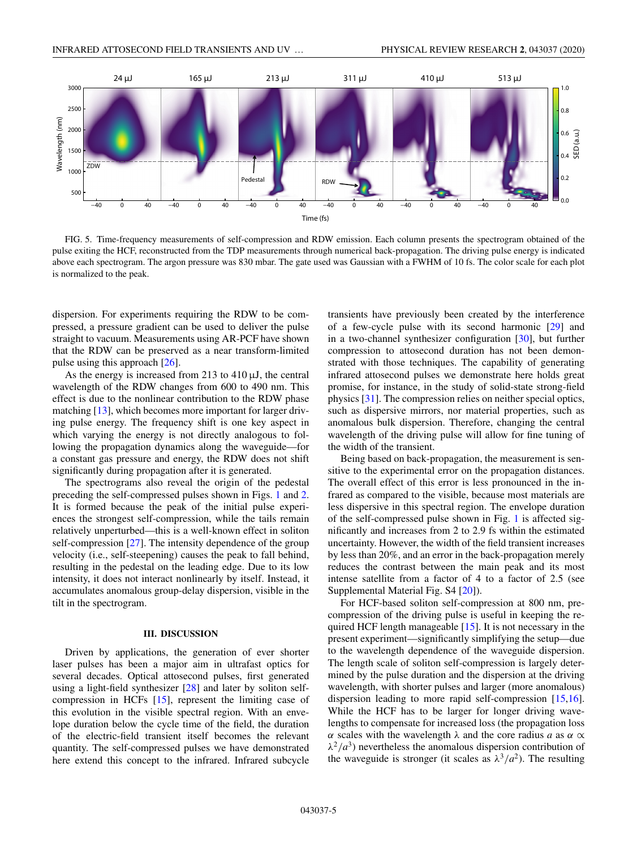<span id="page-5-0"></span>

FIG. 5. Time-frequency measurements of self-compression and RDW emission. Each column presents the spectrogram obtained of the pulse exiting the HCF, reconstructed from the TDP measurements through numerical back-propagation. The driving pulse energy is indicated above each spectrogram. The argon pressure was 830 mbar. The gate used was Gaussian with a FWHM of 10 fs. The color scale for each plot is normalized to the peak.

dispersion. For experiments requiring the RDW to be compressed, a pressure gradient can be used to deliver the pulse straight to vacuum. Measurements using AR-PCF have shown that the RDW can be preserved as a near transform-limited pulse using this approach [\[26\]](#page-8-0).

As the energy is increased from 213 to  $410 \mu J$ , the central wavelength of the RDW changes from 600 to 490 nm. This effect is due to the nonlinear contribution to the RDW phase matching [\[13\]](#page-8-0), which becomes more important for larger driving pulse energy. The frequency shift is one key aspect in which varying the energy is not directly analogous to following the propagation dynamics along the waveguide—for a constant gas pressure and energy, the RDW does not shift significantly during propagation after it is generated.

The spectrograms also reveal the origin of the pedestal preceding the self-compressed pulses shown in Figs. [1](#page-2-0) and [2.](#page-3-0) It is formed because the peak of the initial pulse experiences the strongest self-compression, while the tails remain relatively unperturbed—this is a well-known effect in soliton self-compression [\[27\]](#page-8-0). The intensity dependence of the group velocity (i.e., self-steepening) causes the peak to fall behind, resulting in the pedestal on the leading edge. Due to its low intensity, it does not interact nonlinearly by itself. Instead, it accumulates anomalous group-delay dispersion, visible in the tilt in the spectrogram.

#### **III. DISCUSSION**

Driven by applications, the generation of ever shorter laser pulses has been a major aim in ultrafast optics for several decades. Optical attosecond pulses, first generated using a light-field synthesizer [\[28\]](#page-8-0) and later by soliton selfcompression in HCFs [\[15\]](#page-8-0), represent the limiting case of this evolution in the visible spectral region. With an envelope duration below the cycle time of the field, the duration of the electric-field transient itself becomes the relevant quantity. The self-compressed pulses we have demonstrated here extend this concept to the infrared. Infrared subcycle transients have previously been created by the interference of a few-cycle pulse with its second harmonic [\[29\]](#page-8-0) and in a two-channel synthesizer configuration [\[30\]](#page-8-0), but further compression to attosecond duration has not been demonstrated with those techniques. The capability of generating infrared attosecond pulses we demonstrate here holds great promise, for instance, in the study of solid-state strong-field physics [\[31\]](#page-8-0). The compression relies on neither special optics, such as dispersive mirrors, nor material properties, such as anomalous bulk dispersion. Therefore, changing the central wavelength of the driving pulse will allow for fine tuning of the width of the transient.

Being based on back-propagation, the measurement is sensitive to the experimental error on the propagation distances. The overall effect of this error is less pronounced in the infrared as compared to the visible, because most materials are less dispersive in this spectral region. The envelope duration of the self-compressed pulse shown in Fig. [1](#page-2-0) is affected significantly and increases from 2 to 2.9 fs within the estimated uncertainty. However, the width of the field transient increases by less than 20%, and an error in the back-propagation merely reduces the contrast between the main peak and its most intense satellite from a factor of 4 to a factor of 2.5 (see Supplemental Material Fig. S4 [\[20\]](#page-8-0)).

For HCF-based soliton self-compression at 800 nm, precompression of the driving pulse is useful in keeping the required HCF length manageable [\[15\]](#page-8-0). It is not necessary in the present experiment—significantly simplifying the setup—due to the wavelength dependence of the waveguide dispersion. The length scale of soliton self-compression is largely determined by the pulse duration and the dispersion at the driving wavelength, with shorter pulses and larger (more anomalous) dispersion leading to more rapid self-compression [\[15,16\]](#page-8-0). While the HCF has to be larger for longer driving wavelengths to compensate for increased loss (the propagation loss α scales with the wavelength λ and the core radius *a* as α ∝  $\lambda^2/a^3$ ) nevertheless the anomalous dispersion contribution of the waveguide is stronger (it scales as  $\lambda^3/a^2$ ). The resulting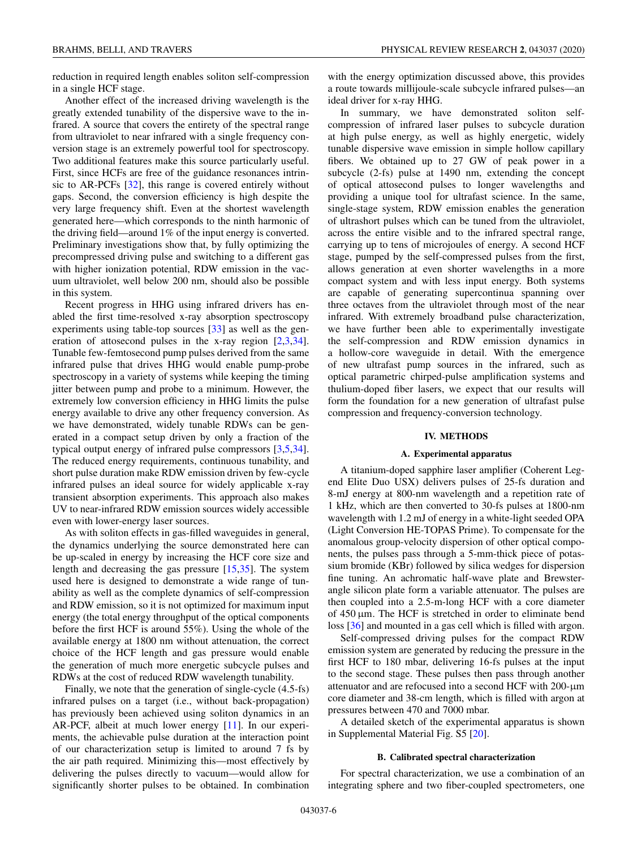<span id="page-6-0"></span>reduction in required length enables soliton self-compression in a single HCF stage.

Another effect of the increased driving wavelength is the greatly extended tunability of the dispersive wave to the infrared. A source that covers the entirety of the spectral range from ultraviolet to near infrared with a single frequency conversion stage is an extremely powerful tool for spectroscopy. Two additional features make this source particularly useful. First, since HCFs are free of the guidance resonances intrinsic to AR-PCFs [\[32\]](#page-8-0), this range is covered entirely without gaps. Second, the conversion efficiency is high despite the very large frequency shift. Even at the shortest wavelength generated here—which corresponds to the ninth harmonic of the driving field—around 1% of the input energy is converted. Preliminary investigations show that, by fully optimizing the precompressed driving pulse and switching to a different gas with higher ionization potential, RDW emission in the vacuum ultraviolet, well below 200 nm, should also be possible in this system.

Recent progress in HHG using infrared drivers has enabled the first time-resolved x-ray absorption spectroscopy experiments using table-top sources [\[33\]](#page-8-0) as well as the generation of attosecond pulses in the x-ray region [\[2,3](#page-7-0)[,34\]](#page-8-0). Tunable few-femtosecond pump pulses derived from the same infrared pulse that drives HHG would enable pump-probe spectroscopy in a variety of systems while keeping the timing jitter between pump and probe to a minimum. However, the extremely low conversion efficiency in HHG limits the pulse energy available to drive any other frequency conversion. As we have demonstrated, widely tunable RDWs can be generated in a compact setup driven by only a fraction of the typical output energy of infrared pulse compressors [\[3,5](#page-7-0)[,34\]](#page-8-0). The reduced energy requirements, continuous tunability, and short pulse duration make RDW emission driven by few-cycle infrared pulses an ideal source for widely applicable x-ray transient absorption experiments. This approach also makes UV to near-infrared RDW emission sources widely accessible even with lower-energy laser sources.

As with soliton effects in gas-filled waveguides in general, the dynamics underlying the source demonstrated here can be up-scaled in energy by increasing the HCF core size and length and decreasing the gas pressure [\[15,35\]](#page-8-0). The system used here is designed to demonstrate a wide range of tunability as well as the complete dynamics of self-compression and RDW emission, so it is not optimized for maximum input energy (the total energy throughput of the optical components before the first HCF is around 55%). Using the whole of the available energy at 1800 nm without attenuation, the correct choice of the HCF length and gas pressure would enable the generation of much more energetic subcycle pulses and RDWs at the cost of reduced RDW wavelength tunability.

Finally, we note that the generation of single-cycle (4.5-fs) infrared pulses on a target (i.e., without back-propagation) has previously been achieved using soliton dynamics in an AR-PCF, albeit at much lower energy [\[11\]](#page-8-0). In our experiments, the achievable pulse duration at the interaction point of our characterization setup is limited to around 7 fs by the air path required. Minimizing this—most effectively by delivering the pulses directly to vacuum—would allow for significantly shorter pulses to be obtained. In combination with the energy optimization discussed above, this provides a route towards millijoule-scale subcycle infrared pulses—an ideal driver for x-ray HHG.

In summary, we have demonstrated soliton selfcompression of infrared laser pulses to subcycle duration at high pulse energy, as well as highly energetic, widely tunable dispersive wave emission in simple hollow capillary fibers. We obtained up to 27 GW of peak power in a subcycle (2-fs) pulse at 1490 nm, extending the concept of optical attosecond pulses to longer wavelengths and providing a unique tool for ultrafast science. In the same, single-stage system, RDW emission enables the generation of ultrashort pulses which can be tuned from the ultraviolet, across the entire visible and to the infrared spectral range, carrying up to tens of microjoules of energy. A second HCF stage, pumped by the self-compressed pulses from the first, allows generation at even shorter wavelengths in a more compact system and with less input energy. Both systems are capable of generating supercontinua spanning over three octaves from the ultraviolet through most of the near infrared. With extremely broadband pulse characterization, we have further been able to experimentally investigate the self-compression and RDW emission dynamics in a hollow-core waveguide in detail. With the emergence of new ultrafast pump sources in the infrared, such as optical parametric chirped-pulse amplification systems and thulium-doped fiber lasers, we expect that our results will form the foundation for a new generation of ultrafast pulse compression and frequency-conversion technology.

### **IV. METHODS**

#### **A. Experimental apparatus**

A titanium-doped sapphire laser amplifier (Coherent Legend Elite Duo USX) delivers pulses of 25-fs duration and 8-mJ energy at 800-nm wavelength and a repetition rate of 1 kHz, which are then converted to 30-fs pulses at 1800-nm wavelength with 1.2 mJ of energy in a white-light seeded OPA (Light Conversion HE-TOPAS Prime). To compensate for the anomalous group-velocity dispersion of other optical components, the pulses pass through a 5-mm-thick piece of potassium bromide (KBr) followed by silica wedges for dispersion fine tuning. An achromatic half-wave plate and Brewsterangle silicon plate form a variable attenuator. The pulses are then coupled into a 2.5-m-long HCF with a core diameter of 450 μm. The HCF is stretched in order to eliminate bend loss [\[36\]](#page-8-0) and mounted in a gas cell which is filled with argon.

Self-compressed driving pulses for the compact RDW emission system are generated by reducing the pressure in the first HCF to 180 mbar, delivering 16-fs pulses at the input to the second stage. These pulses then pass through another attenuator and are refocused into a second HCF with 200-μm core diameter and 38-cm length, which is filled with argon at pressures between 470 and 7000 mbar.

A detailed sketch of the experimental apparatus is shown in Supplemental Material Fig. S5 [\[20\]](#page-8-0).

#### **B. Calibrated spectral characterization**

For spectral characterization, we use a combination of an integrating sphere and two fiber-coupled spectrometers, one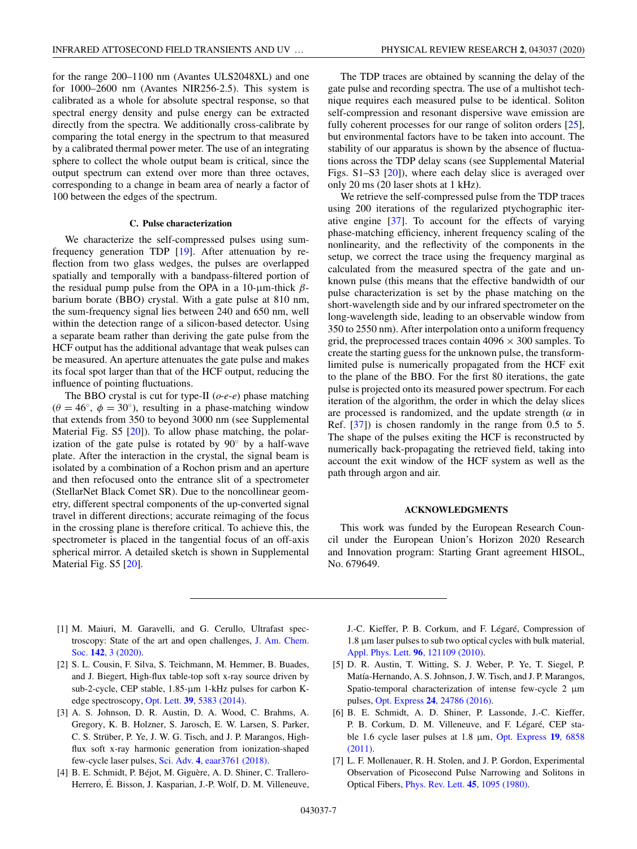<span id="page-7-0"></span>for the range 200–1100 nm (Avantes ULS2048XL) and one for 1000–2600 nm (Avantes NIR256-2.5). This system is calibrated as a whole for absolute spectral response, so that spectral energy density and pulse energy can be extracted directly from the spectra. We additionally cross-calibrate by comparing the total energy in the spectrum to that measured by a calibrated thermal power meter. The use of an integrating sphere to collect the whole output beam is critical, since the output spectrum can extend over more than three octaves, corresponding to a change in beam area of nearly a factor of 100 between the edges of the spectrum.

### **C. Pulse characterization**

We characterize the self-compressed pulses using sumfrequency generation TDP [\[19\]](#page-8-0). After attenuation by reflection from two glass wedges, the pulses are overlapped spatially and temporally with a bandpass-filtered portion of the residual pump pulse from the OPA in a 10-μm-thick  $β$ barium borate (BBO) crystal. With a gate pulse at 810 nm, the sum-frequency signal lies between 240 and 650 nm, well within the detection range of a silicon-based detector. Using a separate beam rather than deriving the gate pulse from the HCF output has the additional advantage that weak pulses can be measured. An aperture attenuates the gate pulse and makes its focal spot larger than that of the HCF output, reducing the influence of pointing fluctuations.

The BBO crystal is cut for type-II (*o*-*e*-*e*) phase matching  $(\theta = 46^{\circ}, \phi = 30^{\circ})$ , resulting in a phase-matching window that extends from 350 to beyond 3000 nm (see Supplemental Material Fig. S5 [\[20\]](#page-8-0)). To allow phase matching, the polarization of the gate pulse is rotated by 90◦ by a half-wave plate. After the interaction in the crystal, the signal beam is isolated by a combination of a Rochon prism and an aperture and then refocused onto the entrance slit of a spectrometer (StellarNet Black Comet SR). Due to the noncollinear geometry, different spectral components of the up-converted signal travel in different directions; accurate reimaging of the focus in the crossing plane is therefore critical. To achieve this, the spectrometer is placed in the tangential focus of an off-axis spherical mirror. A detailed sketch is shown in Supplemental Material Fig. S5 [\[20\]](#page-8-0).

The TDP traces are obtained by scanning the delay of the gate pulse and recording spectra. The use of a multishot technique requires each measured pulse to be identical. Soliton self-compression and resonant dispersive wave emission are fully coherent processes for our range of soliton orders [\[25\]](#page-8-0), but environmental factors have to be taken into account. The stability of our apparatus is shown by the absence of fluctuations across the TDP delay scans (see Supplemental Material Figs. S1–S3 [\[20\]](#page-8-0)), where each delay slice is averaged over only 20 ms (20 laser shots at 1 kHz).

We retrieve the self-compressed pulse from the TDP traces using 200 iterations of the regularized ptychographic iterative engine [\[37\]](#page-8-0). To account for the effects of varying phase-matching efficiency, inherent frequency scaling of the nonlinearity, and the reflectivity of the components in the setup, we correct the trace using the frequency marginal as calculated from the measured spectra of the gate and unknown pulse (this means that the effective bandwidth of our pulse characterization is set by the phase matching on the short-wavelength side and by our infrared spectrometer on the long-wavelength side, leading to an observable window from 350 to 2550 nm). After interpolation onto a uniform frequency grid, the preprocessed traces contain  $4096 \times 300$  samples. To create the starting guess for the unknown pulse, the transformlimited pulse is numerically propagated from the HCF exit to the plane of the BBO. For the first 80 iterations, the gate pulse is projected onto its measured power spectrum. For each iteration of the algorithm, the order in which the delay slices are processed is randomized, and the update strength ( $\alpha$  in Ref. [\[37\]](#page-8-0)) is chosen randomly in the range from 0.5 to 5. The shape of the pulses exiting the HCF is reconstructed by numerically back-propagating the retrieved field, taking into account the exit window of the HCF system as well as the path through argon and air.

### **ACKNOWLEDGMENTS**

This work was funded by the European Research Council under the European Union's Horizon 2020 Research and Innovation program: Starting Grant agreement HISOL, No. 679649.

- [1] M. Maiuri, M. Garavelli, and G. Cerullo, Ultrafast spec[troscopy: State of the art and open challenges,](https://doi.org/10.1021/jacs.9b10533) J. Am. Chem. Soc. **142**, 3 (2020).
- [2] S. L. Cousin, F. Silva, S. Teichmann, M. Hemmer, B. Buades, and J. Biegert, High-flux table-top soft x-ray source driven by sub-2-cycle, CEP stable, 1.85-μm 1-kHz pulses for carbon Kedge spectroscopy, Opt. Lett. **39**[, 5383 \(2014\).](https://doi.org/10.1364/OL.39.005383)
- [3] A. S. Johnson, D. R. Austin, D. A. Wood, C. Brahms, A. Gregory, K. B. Holzner, S. Jarosch, E. W. Larsen, S. Parker, C. S. Strüber, P. Ye, J. W. G. Tisch, and J. P. Marangos, Highflux soft x-ray harmonic generation from ionization-shaped few-cycle laser pulses, Sci. Adv. **4**[, eaar3761 \(2018\).](https://doi.org/10.1126/sciadv.aar3761)
- [4] B. E. Schmidt, P. Béjot, M. Giguère, A. D. Shiner, C. Trallero-Herrero, É. Bisson, J. Kasparian, J.-P. Wolf, D. M. Villeneuve,

J.-C. Kieffer, P. B. Corkum, and F. Légaré, Compression of 1.8 μm laser pulses to sub two optical cycles with bulk material, [Appl. Phys. Lett.](https://doi.org/10.1063/1.3359458) **96**, 121109 (2010).

- [5] D. R. Austin, T. Witting, S. J. Weber, P. Ye, T. Siegel, P. Matía-Hernando, A. S. Johnson, J. W. Tisch, and J. P. Marangos, Spatio-temporal characterization of intense few-cycle 2 μm pulses, Opt. Express **24**[, 24786 \(2016\).](https://doi.org/10.1364/OE.24.024786)
- [6] B. E. Schmidt, A. D. Shiner, P. Lassonde, J.-C. Kieffer, P. B. Corkum, D. M. Villeneuve, and F. Légaré, CEP sta[ble 1.6 cycle laser pulses at 1.8](https://doi.org/10.1364/OE.19.006858) μm, Opt. Express **19**, 6858 (2011).
- [7] L. F. Mollenauer, R. H. Stolen, and J. P. Gordon, Experimental Observation of Picosecond Pulse Narrowing and Solitons in Optical Fibers, [Phys. Rev. Lett.](https://doi.org/10.1103/PhysRevLett.45.1095) **45**, 1095 (1980).